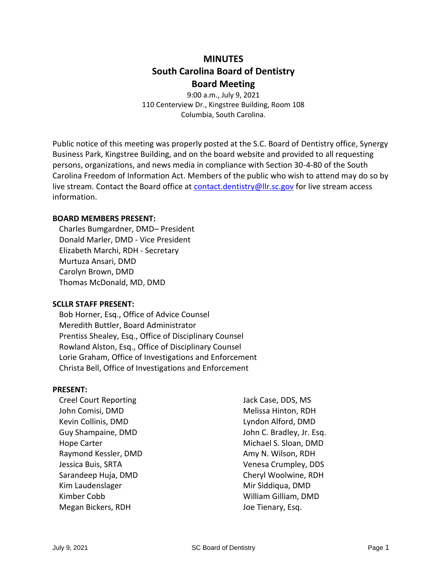# **MINUTES South Carolina Board of Dentistry Board Meeting**

9:00 a.m., July 9, 2021 110 Centerview Dr., Kingstree Building, Room 108 Columbia, South Carolina.

Public notice of this meeting was properly posted at the S.C. Board of Dentistry office, Synergy Business Park, Kingstree Building, and on the board website and provided to all requesting persons, organizations, and news media in compliance with Section 30-4-80 of the South Carolina Freedom of Information Act. Members of the public who wish to attend may do so by live stream. Contact the Board office at [contact.dentistry@llr.sc.gov](mailto:contact.dentistry@llr.sc.gov) for live stream access information.

#### **BOARD MEMBERS PRESENT:**

Charles Bumgardner, DMD– President Donald Marler, DMD - Vice President Elizabeth Marchi, RDH - Secretary Murtuza Ansari, DMD Carolyn Brown, DMD Thomas McDonald, MD, DMD

#### **SCLLR STAFF PRESENT:**

Bob Horner, Esq., Office of Advice Counsel Meredith Buttler, Board Administrator Prentiss Shealey, Esq., Office of Disciplinary Counsel Rowland Alston, Esq., Office of Disciplinary Counsel Lorie Graham, Office of Investigations and Enforcement Christa Bell, Office of Investigations and Enforcement

#### **PRESENT:**

| <b>Creel Court Reporting</b> | Jacl |
|------------------------------|------|
| John Comisi, DMD             | Me   |
| Kevin Collinis, DMD          | Lyn  |
| Guy Shampaine, DMD           | Joh  |
| <b>Hope Carter</b>           | Mio  |
| Raymond Kessler, DMD         | Am   |
| Jessica Buis, SRTA           | Ver  |
| Sarandeep Huja, DMD          | Che  |
| Kim Laudenslager             | Mir  |
| Kimber Cobb                  | Wil  |
| Megan Bickers, RDH           | Joe  |

k Case, DDS, MS lissa Hinton, RDH don Alford, DMD In C. Bradley, Jr. Esq. chael S. Sloan, DMD y N. Wilson, RDH nesa Crumpley, DDS eryl Woolwine, RDH Siddiqua, DMD William Gilliam, DMD Tienary, Esq.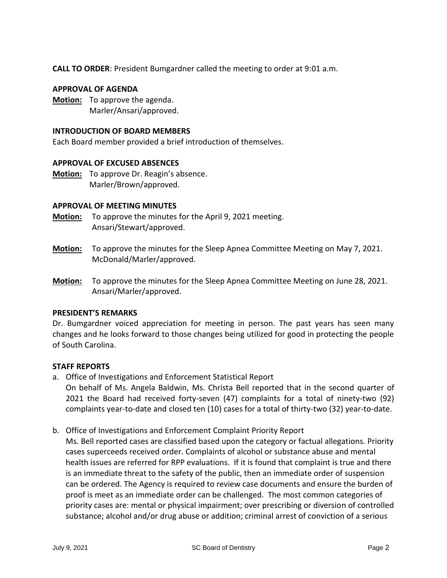**CALL TO ORDER**: President Bumgardner called the meeting to order at 9:01 a.m.

### **APPROVAL OF AGENDA**

**Motion:** To approve the agenda. Marler/Ansari/approved.

### **INTRODUCTION OF BOARD MEMBERS**

Each Board member provided a brief introduction of themselves.

## **APPROVAL OF EXCUSED ABSENCES**

**Motion:** To approve Dr. Reagin's absence. Marler/Brown/approved.

## **APPROVAL OF MEETING MINUTES**

- **Motion:** To approve the minutes for the April 9, 2021 meeting. Ansari/Stewart/approved.
- **Motion:** To approve the minutes for the Sleep Apnea Committee Meeting on May 7, 2021. McDonald/Marler/approved.
- **Motion:** To approve the minutes for the Sleep Apnea Committee Meeting on June 28, 2021. Ansari/Marler/approved.

#### **PRESIDENT'S REMARKS**

Dr. Bumgardner voiced appreciation for meeting in person. The past years has seen many changes and he looks forward to those changes being utilized for good in protecting the people of South Carolina.

## **STAFF REPORTS**

- a. Office of Investigations and Enforcement Statistical Report On behalf of Ms. Angela Baldwin, Ms. Christa Bell reported that in the second quarter of 2021 the Board had received forty-seven (47) complaints for a total of ninety-two (92) complaints year-to-date and closed ten (10) cases for a total of thirty-two (32) year-to-date.
- b. Office of Investigations and Enforcement Complaint Priority Report

Ms. Bell reported cases are classified based upon the category or factual allegations. Priority cases superceeds received order. Complaints of alcohol or substance abuse and mental health issues are referred for RPP evaluations. If it is found that complaint is true and there is an immediate threat to the safety of the public, then an immediate order of suspension can be ordered. The Agency is required to review case documents and ensure the burden of proof is meet as an immediate order can be challenged. The most common categories of priority cases are: mental or physical impairment; over prescribing or diversion of controlled substance; alcohol and/or drug abuse or addition; criminal arrest of conviction of a serious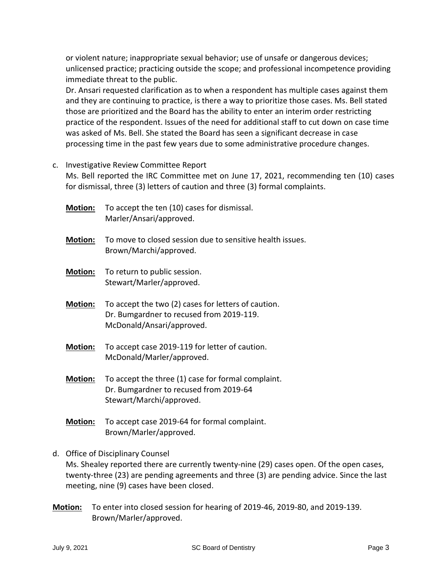or violent nature; inappropriate sexual behavior; use of unsafe or dangerous devices; unlicensed practice; practicing outside the scope; and professional incompetence providing immediate threat to the public.

Dr. Ansari requested clarification as to when a respondent has multiple cases against them and they are continuing to practice, is there a way to prioritize those cases. Ms. Bell stated those are prioritized and the Board has the ability to enter an interim order restricting practice of the respondent. Issues of the need for additional staff to cut down on case time was asked of Ms. Bell. She stated the Board has seen a significant decrease in case processing time in the past few years due to some administrative procedure changes.

## c. Investigative Review Committee Report

Ms. Bell reported the IRC Committee met on June 17, 2021, recommending ten (10) cases for dismissal, three (3) letters of caution and three (3) formal complaints.

- **Motion:** To accept the ten (10) cases for dismissal. Marler/Ansari/approved.
- **Motion:** To move to closed session due to sensitive health issues. Brown/Marchi/approved.
- **Motion:** To return to public session. Stewart/Marler/approved.
- **Motion:** To accept the two (2) cases for letters of caution. Dr. Bumgardner to recused from 2019-119. McDonald/Ansari/approved.
- **Motion:** To accept case 2019-119 for letter of caution. McDonald/Marler/approved.
- **Motion:** To accept the three (1) case for formal complaint. Dr. Bumgardner to recused from 2019-64 Stewart/Marchi/approved.
- **Motion:** To accept case 2019-64 for formal complaint. Brown/Marler/approved.

## d. Office of Disciplinary Counsel

Ms. Shealey reported there are currently twenty-nine (29) cases open. Of the open cases, twenty-three (23) are pending agreements and three (3) are pending advice. Since the last meeting, nine (9) cases have been closed.

**Motion:** To enter into closed session for hearing of 2019-46, 2019-80, and 2019-139. Brown/Marler/approved.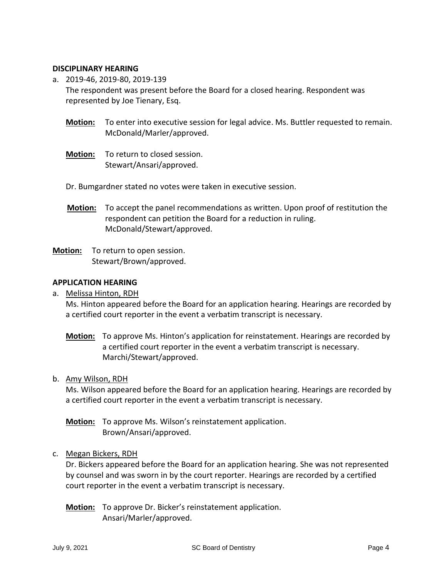### **DISCIPLINARY HEARING**

- a. 2019-46, 2019-80, 2019-139 The respondent was present before the Board for a closed hearing. Respondent was represented by Joe Tienary, Esq.
	- **Motion:** To enter into executive session for legal advice. Ms. Buttler requested to remain. McDonald/Marler/approved.
	- **Motion:** To return to closed session. Stewart/Ansari/approved.
	- Dr. Bumgardner stated no votes were taken in executive session.
	- **Motion:** To accept the panel recommendations as written. Upon proof of restitution the respondent can petition the Board for a reduction in ruling. McDonald/Stewart/approved.
- **Motion:** To return to open session. Stewart/Brown/approved.

## **APPLICATION HEARING**

a. Melissa Hinton, RDH

Ms. Hinton appeared before the Board for an application hearing. Hearings are recorded by a certified court reporter in the event a verbatim transcript is necessary.

**Motion:** To approve Ms. Hinton's application for reinstatement. Hearings are recorded by a certified court reporter in the event a verbatim transcript is necessary. Marchi/Stewart/approved.

#### b. Amy Wilson, RDH

Ms. Wilson appeared before the Board for an application hearing. Hearings are recorded by a certified court reporter in the event a verbatim transcript is necessary.

**Motion:** To approve Ms. Wilson's reinstatement application. Brown/Ansari/approved.

#### c. Megan Bickers, RDH

Dr. Bickers appeared before the Board for an application hearing. She was not represented by counsel and was sworn in by the court reporter. Hearings are recorded by a certified court reporter in the event a verbatim transcript is necessary.

**Motion:** To approve Dr. Bicker's reinstatement application. Ansari/Marler/approved.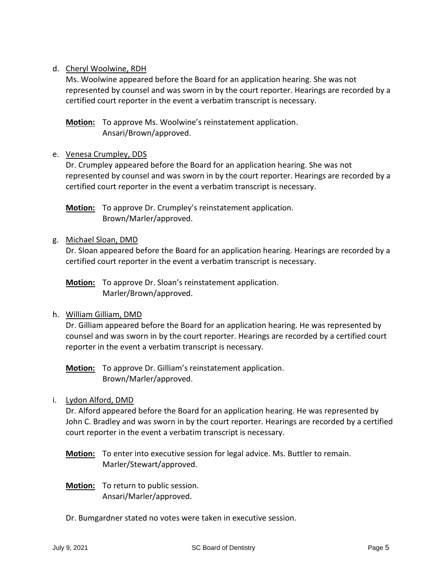# d. Cheryl Woolwine, RDH

Ms. Woolwine appeared before the Board for an application hearing. She was not represented by counsel and was sworn in by the court reporter. Hearings are recorded by a certified court reporter in the event a verbatim transcript is necessary.

**Motion:** To approve Ms. Woolwine's reinstatement application. Ansari/Brown/approved.

# e. Venesa Crumpley, DDS

Dr. Crumpley appeared before the Board for an application hearing. She was not represented by counsel and was sworn in by the court reporter. Hearings are recorded by a certified court reporter in the event a verbatim transcript is necessary.

**Motion:** To approve Dr. Crumpley's reinstatement application. Brown/Marler/approved.

## g. Michael Sloan, DMD

Dr. Sloan appeared before the Board for an application hearing. Hearings are recorded by a certified court reporter in the event a verbatim transcript is necessary.

**Motion:** To approve Dr. Sloan's reinstatement application. Marler/Brown/approved.

## h. William Gilliam, DMD

Dr. Gilliam appeared before the Board for an application hearing. He was represented by counsel and was sworn in by the court reporter. Hearings are recorded by a certified court reporter in the event a verbatim transcript is necessary.

**Motion:** To approve Dr. Gilliam's reinstatement application. Brown/Marler/approved.

i. Lydon Alford, DMD

Dr. Alford appeared before the Board for an application hearing. He was represented by John C. Bradley and was sworn in by the court reporter. Hearings are recorded by a certified court reporter in the event a verbatim transcript is necessary.

- **Motion:** To enter into executive session for legal advice. Ms. Buttler to remain. Marler/Stewart/approved.
- **Motion:** To return to public session. Ansari/Marler/approved.
- Dr. Bumgardner stated no votes were taken in executive session.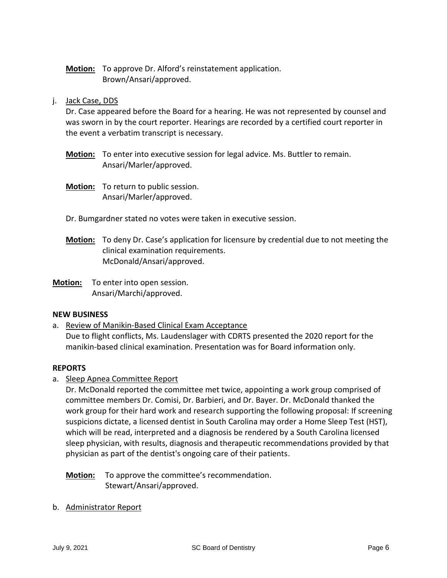# **Motion:** To approve Dr. Alford's reinstatement application. Brown/Ansari/approved.

## j. Jack Case, DDS

Dr. Case appeared before the Board for a hearing. He was not represented by counsel and was sworn in by the court reporter. Hearings are recorded by a certified court reporter in the event a verbatim transcript is necessary.

- **Motion:** To enter into executive session for legal advice. Ms. Buttler to remain. Ansari/Marler/approved.
- **Motion:** To return to public session. Ansari/Marler/approved.
- Dr. Bumgardner stated no votes were taken in executive session.
- **Motion:** To deny Dr. Case's application for licensure by credential due to not meeting the clinical examination requirements. McDonald/Ansari/approved.
- **Motion:** To enter into open session. Ansari/Marchi/approved.

## **NEW BUSINESS**

a. Review of Manikin-Based Clinical Exam Acceptance Due to flight conflicts, Ms. Laudenslager with CDRTS presented the 2020 report for the manikin-based clinical examination. Presentation was for Board information only.

## **REPORTS**

a. Sleep Apnea Committee Report

Dr. McDonald reported the committee met twice, appointing a work group comprised of committee members Dr. Comisi, Dr. Barbieri, and Dr. Bayer. Dr. McDonald thanked the work group for their hard work and research supporting the following proposal: If screening suspicions dictate, a licensed dentist in South Carolina may order a Home Sleep Test (HST), which will be read, interpreted and a diagnosis be rendered by a South Carolina licensed sleep physician, with results, diagnosis and therapeutic recommendations provided by that physician as part of the dentist's ongoing care of their patients.

**Motion:** To approve the committee's recommendation. Stewart/Ansari/approved.

b. Administrator Report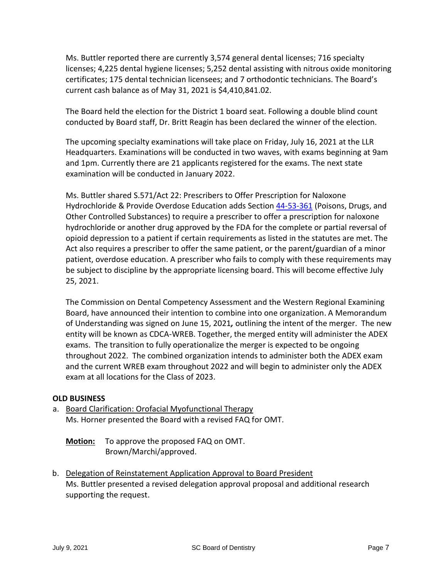Ms. Buttler reported there are currently 3,574 general dental licenses; 716 specialty licenses; 4,225 dental hygiene licenses; 5,252 dental assisting with nitrous oxide monitoring certificates; 175 dental technician licensees; and 7 orthodontic technicians. The Board's current cash balance as of May 31, 2021 is \$4,410,841.02.

The Board held the election for the District 1 board seat. Following a double blind count conducted by Board staff, Dr. Britt Reagin has been declared the winner of the election.

The upcoming specialty examinations will take place on Friday, July 16, 2021 at the LLR Headquarters. Examinations will be conducted in two waves, with exams beginning at 9am and 1pm. Currently there are 21 applicants registered for the exams. The next state examination will be conducted in January 2022.

Ms. Buttler shared S.571/Act 22: Prescribers to Offer Prescription for Naloxone Hydrochloride & Provide Overdose Education adds Section [44-53-361](https://www.scstatehouse.gov/code/t44c053.php#44-53-361) (Poisons, Drugs, and Other Controlled Substances) to require a prescriber to offer a prescription for naloxone hydrochloride or another drug approved by the FDA for the complete or partial reversal of opioid depression to a patient if certain requirements as listed in the statutes are met. The Act also requires a prescriber to offer the same patient, or the parent/guardian of a minor patient, overdose education. A prescriber who fails to comply with these requirements may be subject to discipline by the appropriate licensing board. This will become effective July 25, 2021.

The Commission on Dental Competency Assessment and the Western Regional Examining Board, have announced their intention to combine into one organization. A Memorandum of Understanding was signed on June 15, 2021*,* outlining the intent of the merger. The new entity will be known as CDCA-WREB. Together, the merged entity will administer the ADEX exams. The transition to fully operationalize the merger is expected to be ongoing throughout 2022. The combined organization intends to administer both the ADEX exam and the current WREB exam throughout 2022 and will begin to administer only the ADEX exam at all locations for the Class of 2023.

# **OLD BUSINESS**

a. Board Clarification: Orofacial Myofunctional Therapy Ms. Horner presented the Board with a revised FAQ for OMT.

**Motion:** To approve the proposed FAQ on OMT. Brown/Marchi/approved.

b. Delegation of Reinstatement Application Approval to Board President Ms. Buttler presented a revised delegation approval proposal and additional research supporting the request.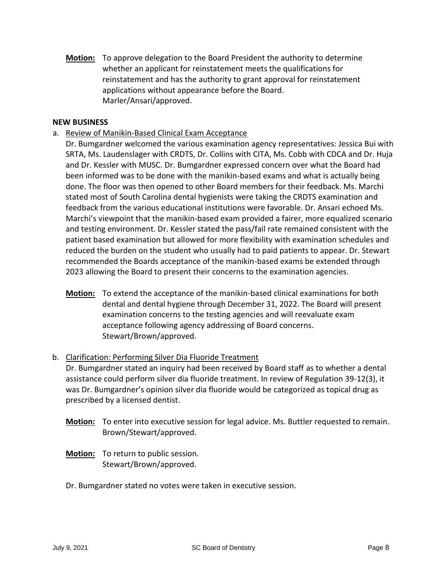**Motion:** To approve delegation to the Board President the authority to determine whether an applicant for reinstatement meets the qualifications for reinstatement and has the authority to grant approval for reinstatement applications without appearance before the Board. Marler/Ansari/approved.

#### **NEW BUSINESS**

a. Review of Manikin-Based Clinical Exam Acceptance

Dr. Bumgardner welcomed the various examination agency representatives: Jessica Bui with SRTA, Ms. Laudenslager with CRDTS, Dr. Collins with CITA, Ms. Cobb with CDCA and Dr. Huja and Dr. Kessler with MUSC. Dr. Bumgardner expressed concern over what the Board had been informed was to be done with the manikin-based exams and what is actually being done. The floor was then opened to other Board members for their feedback. Ms. Marchi stated most of South Carolina dental hygienists were taking the CRDTS examination and feedback from the various educational institutions were favorable. Dr. Ansari echoed Ms. Marchi's viewpoint that the manikin-based exam provided a fairer, more equalized scenario and testing environment. Dr. Kessler stated the pass/fail rate remained consistent with the patient based examination but allowed for more flexibility with examination schedules and reduced the burden on the student who usually had to paid patients to appear. Dr. Stewart recommended the Boards acceptance of the manikin-based exams be extended through 2023 allowing the Board to present their concerns to the examination agencies.

**Motion:** To extend the acceptance of the manikin-based clinical examinations for both dental and dental hygiene through December 31, 2022. The Board will present examination concerns to the testing agencies and will reevaluate exam acceptance following agency addressing of Board concerns. Stewart/Brown/approved.

#### b. Clarification: Performing Silver Dia Fluoride Treatment

Dr. Bumgardner stated an inquiry had been received by Board staff as to whether a dental assistance could perform silver dia fluoride treatment. In review of Regulation 39-12(3), it was Dr. Bumgardner's opinion silver dia fluoride would be categorized as topical drug as prescribed by a licensed dentist.

- **Motion:** To enter into executive session for legal advice. Ms. Buttler requested to remain. Brown/Stewart/approved.
- **Motion:** To return to public session. Stewart/Brown/approved.
- Dr. Bumgardner stated no votes were taken in executive session.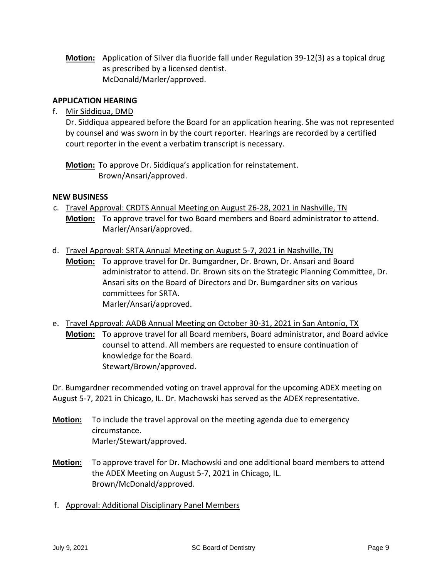**Motion:** Application of Silver dia fluoride fall under Regulation 39-12(3) as a topical drug as prescribed by a licensed dentist. McDonald/Marler/approved.

# **APPLICATION HEARING**

# f. Mir Siddiqua, DMD

Dr. Siddiqua appeared before the Board for an application hearing. She was not represented by counsel and was sworn in by the court reporter. Hearings are recorded by a certified court reporter in the event a verbatim transcript is necessary.

**Motion:** To approve Dr. Siddiqua's application for reinstatement. Brown/Ansari/approved.

## **NEW BUSINESS**

- c. Travel Approval: CRDTS Annual Meeting on August 26-28, 2021 in Nashville, TN **Motion:** To approve travel for two Board members and Board administrator to attend. Marler/Ansari/approved.
- d. Travel Approval: SRTA Annual Meeting on August 5-7, 2021 in Nashville, TN **Motion:** To approve travel for Dr. Bumgardner, Dr. Brown, Dr. Ansari and Board administrator to attend. Dr. Brown sits on the Strategic Planning Committee, Dr. Ansari sits on the Board of Directors and Dr. Bumgardner sits on various committees for SRTA. Marler/Ansari/approved.
- e. Travel Approval: AADB Annual Meeting on October 30-31, 2021 in San Antonio, TX **Motion:** To approve travel for all Board members, Board administrator, and Board advice counsel to attend. All members are requested to ensure continuation of knowledge for the Board. Stewart/Brown/approved.

Dr. Bumgardner recommended voting on travel approval for the upcoming ADEX meeting on August 5-7, 2021 in Chicago, IL. Dr. Machowski has served as the ADEX representative.

- **Motion:** To include the travel approval on the meeting agenda due to emergency circumstance. Marler/Stewart/approved.
- **Motion:** To approve travel for Dr. Machowski and one additional board members to attend the ADEX Meeting on August 5-7, 2021 in Chicago, IL. Brown/McDonald/approved.
- f. Approval: Additional Disciplinary Panel Members